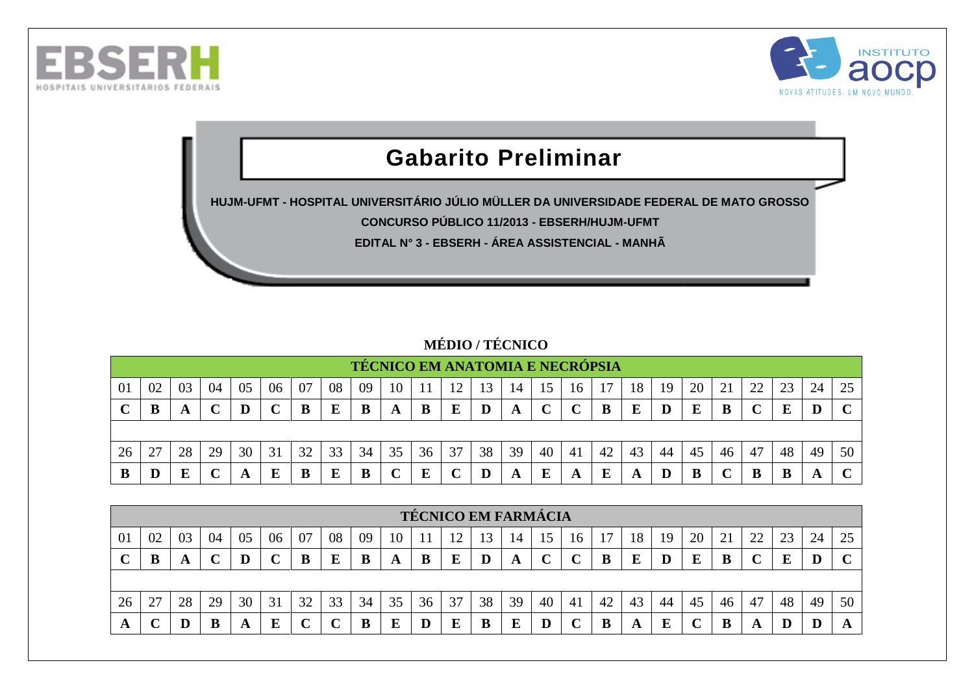



## **Gabarito Preliminar**

**HUJM-UFMT - HOSPITAL UNIVERSITÁRIO JÚLIO MÜLLER DA UNIVERSIDADE FEDERAL DE MATO GROSSO CONCURSO PÚBLICO 11/2013 - EBSERH/HUJM-UFMT**

**EDITAL N° 3 - EBSERH - ÁREA ASSISTENCIAL - MANHÃ**

## **MÉDIO / TÉCNICO**

|    |    |    |    |    |    |    |    | <b>TÉCNICO EM ANATOMIA E NECRÓPSIA</b> |    |    |        |    |    |    |             |    |    |    |    |    |        |    |    |              |
|----|----|----|----|----|----|----|----|----------------------------------------|----|----|--------|----|----|----|-------------|----|----|----|----|----|--------|----|----|--------------|
| 01 | 02 | 03 | 04 | 05 | 06 | 07 | 08 | 09                                     | 10 |    | 12     | 13 | 14 | 15 | 16          |    | 18 | 19 | 20 |    | 22     | 23 | 24 | 25           |
|    | B  | A  |    |    |    | В  | E  | B                                      | A  |    | Е      |    | A  |    | $\mathbf C$ |    | Е  |    | E  |    | $\sim$ | E  | D  | $\mathbf{C}$ |
|    |    |    |    |    |    |    |    |                                        |    |    |        |    |    |    |             |    |    |    |    |    |        |    |    |              |
| 26 | 27 | 28 | 29 | 30 | 31 | 32 | 33 | 34                                     | 35 | 36 | 37     | 38 | 39 | 40 | 41          | 42 | 43 | 44 | 45 | 46 | 47     | 48 | 49 | 50           |
| В  |    |    |    | A  | E  | B  | E  |                                        |    |    | $\sim$ |    | A  |    | A           |    | A  |    | B  |    |        |    | A  | $\sim$       |

|    |    |    |    |    |    |    |    |    |    |    | <b>TÉCNICO EM FARMÁCIA</b> |    |    |    |                |    |    |    |    |                                  |    |    |    |    |
|----|----|----|----|----|----|----|----|----|----|----|----------------------------|----|----|----|----------------|----|----|----|----|----------------------------------|----|----|----|----|
| 01 | 02 |    | 04 | U5 | 06 | 07 | 08 | 09 | 10 |    | ┸                          |    | 14 |    | 16             |    | 18 | 19 | 20 | $\mathcal{D}1$<br>$\overline{ }$ | 22 | 23 | 24 | 25 |
|    | Đ  | A  |    |    |    |    | E  | B  | A  | B  | Ε                          | IJ | A  |    |                |    | E  |    | E  | В                                | ັ  |    |    |    |
|    |    |    |    |    |    |    |    |    |    |    |                            |    |    |    |                |    |    |    |    |                                  |    |    |    |    |
| 26 | 27 | 28 | 29 | 30 | 31 | 32 | 33 | 34 | 35 | 36 | 37                         | 38 | 39 | 40 | 4 <sub>1</sub> | 42 | 43 | 44 | 45 | 46                               | 47 | 48 | 49 | 50 |
| A  |    |    | В  |    | E  |    |    |    | E  |    | E                          |    | E  |    |                |    | A  | F. |    | ш                                | A  | ш  | ┚  |    |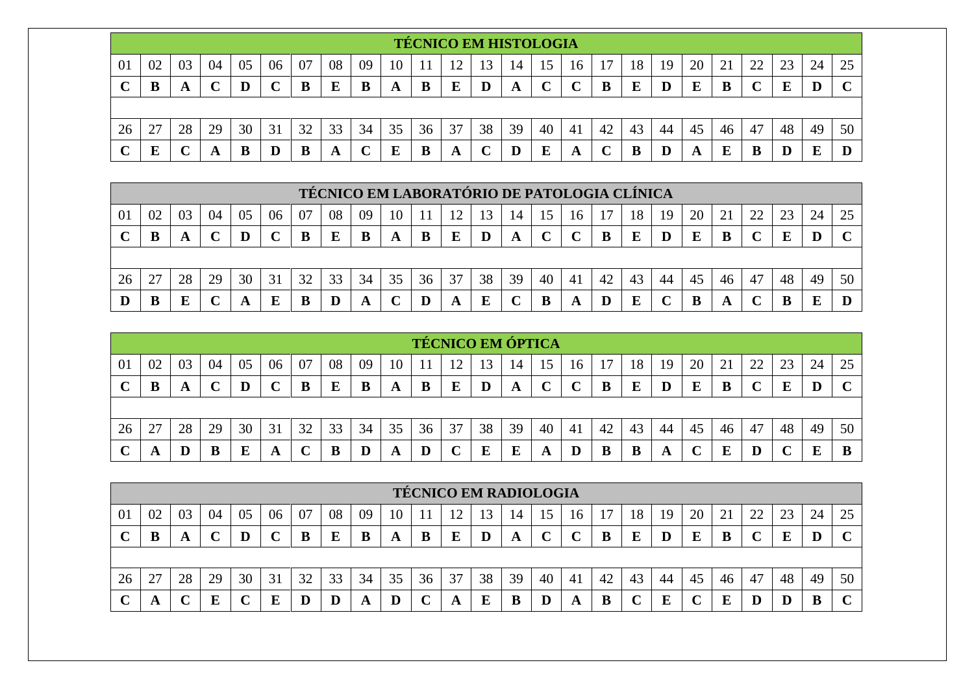|     |    |    |    |    |        |    |    |    |    |    | <b>TÉCNICO EM HISTOLOGIA</b> |    |    |    |        |    |    |    |    |    |    |    |    |    |
|-----|----|----|----|----|--------|----|----|----|----|----|------------------------------|----|----|----|--------|----|----|----|----|----|----|----|----|----|
| -01 | 02 | 03 | 04 | 05 | 06     | 07 | 08 | 09 | 10 |    | 1 س                          | 13 | 14 | 15 | 16     |    | 18 | 19 | 20 | 21 | 22 | 23 | 24 | 25 |
|     | B  | A  |    |    | $\sim$ | В  | E  | B  | A  | B  | Ε                            |    | A  |    | $\sim$ |    | E  |    | E  |    |    |    |    |    |
|     |    |    |    |    |        |    |    |    |    |    |                              |    |    |    |        |    |    |    |    |    |    |    |    |    |
| 26  | 27 | 28 | 29 | 30 | 31     | 32 | 33 | 34 | 35 | 36 | 37                           | 38 | 39 | 40 | 41     | 42 | 43 | 44 | 45 | 46 | 47 | 48 | 49 | 50 |
|     | E  |    | A  | .B | D      |    | A  |    | E  | B  | A                            |    |    |    | A      |    | B  |    | A  |    |    |    | Ε  |    |

|    |    |    |    |    |    |    |    | TÉCNICO EM LABORATÓRIO DE PATOLOGIA CLÍNICA |    |    |    |    |    |    |    |    |    |    |    |                           |          |    |    |             |
|----|----|----|----|----|----|----|----|---------------------------------------------|----|----|----|----|----|----|----|----|----|----|----|---------------------------|----------|----|----|-------------|
| 01 | 02 | 03 | 04 | 05 | 06 | 07 | 08 | 09                                          | 10 |    |    | 13 | 14 | 15 | 16 |    | 18 | 19 | 20 |                           | $\gamma$ | 23 | 24 |             |
|    | B  |    |    |    |    | B  | E  | B                                           | A  |    | E  |    | A  |    |    |    | E  |    | E  |                           |          |    | D  | $\mathbf C$ |
|    |    |    |    |    |    |    |    |                                             |    |    |    |    |    |    |    |    |    |    |    |                           |          |    |    |             |
| 26 | 27 | 28 | 29 | 30 | 31 | 32 | 33 | 34                                          | 35 | 36 | 37 | 38 | 39 | 40 | 41 | 42 | 43 | 44 | 45 | 46                        | 47       | 48 | 49 | 50          |
|    | B  |    |    |    | Е  | B  |    |                                             |    |    |    |    |    |    | A  |    |    |    | B  | $\boldsymbol{\mathsf{A}}$ |          |    | E  |             |

|    |    |    |    |    |    |    |    |    |    |    | <b>TÉCNICO EM ÓPTICA</b> |    |    |     |             |    |    |    |    |    |    |    |    |    |
|----|----|----|----|----|----|----|----|----|----|----|--------------------------|----|----|-----|-------------|----|----|----|----|----|----|----|----|----|
| 01 | 02 | 03 | 04 | 05 | 06 | 07 | 08 | 09 | 10 |    |                          | 15 | 14 | 15. | 16          |    | 18 | 19 | 20 |    | 22 |    | 24 |    |
|    | B  |    |    |    |    |    | E  | B  | A  |    | E                        | D  | A  |     | $\mathbf C$ | В  | E  |    | Ε  |    |    |    | D  |    |
|    |    |    |    |    |    |    |    |    |    |    |                          |    |    |     |             |    |    |    |    |    |    |    |    |    |
| 26 | 27 | 28 | 29 | 30 | 31 | 32 | 33 | 34 | 35 | 36 | 37                       | 38 | 39 | 40  | 41          | 42 | 43 | 44 | 45 | 46 | 47 | 48 | 49 | 50 |
|    |    |    |    |    | A  |    | В  |    |    |    |                          | E  | E  |     |             |    | B  | л  |    |    | D  |    |    |    |

|    |    |    |    |    |    |    |    |    |    |    | <b>TÉCNICO EM RADIOLOGIA</b> |    |    |    |    |    |    |    |    |    |    |    |    |              |
|----|----|----|----|----|----|----|----|----|----|----|------------------------------|----|----|----|----|----|----|----|----|----|----|----|----|--------------|
| 01 | 02 | 03 | 04 | 05 | 06 | 07 | 08 | 09 | 10 |    |                              | 13 | 14 | 15 | 16 |    | 18 | 19 | 20 | 21 | 22 | 23 | 24 | 25           |
|    | B  | A  | ັ  |    |    |    | E  | в  | A  |    |                              |    | A  |    |    |    | E  |    | E  | в  |    |    |    | $\sim$       |
|    |    |    |    |    |    |    |    |    |    |    |                              |    |    |    |    |    |    |    |    |    |    |    |    |              |
| 26 | 27 | 28 | 29 | 30 | 31 | 32 | 33 | 34 | 35 | 36 | 37                           | 38 | 39 | 40 | 41 | 42 | 43 | 44 | 45 | 46 | 47 | 48 | 49 | 50           |
|    | A  |    |    |    | E  |    |    | A  | D  |    | A                            | E  | B  |    | A  | В  |    | E  |    | E  | D  |    |    | $\mathbf{C}$ |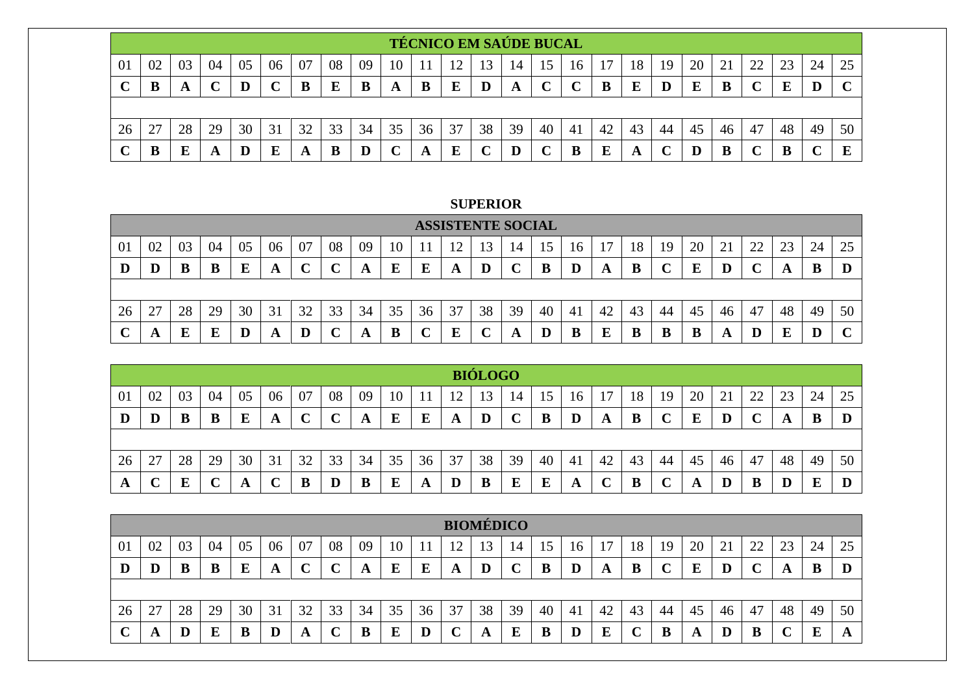|     |    |    |    |    |    |    |    |    |    | <b>TÉCNICO EM SAÚDE BUCAL</b> |    |    |    |    |              |    |    |    |    |    |    |    |    |    |
|-----|----|----|----|----|----|----|----|----|----|-------------------------------|----|----|----|----|--------------|----|----|----|----|----|----|----|----|----|
| -01 | 02 | 03 | 04 | 05 | 06 | 07 | 08 | 09 | 10 |                               | 12 | 13 | 14 | 15 | 16           |    | 18 | 19 | 20 | 21 | 22 | 23 | 24 | 25 |
|     | B  | A  |    |    |    | В  | E  | B  | A  | B                             | E  | D  | A  | ⌒  | $\mathbf{C}$ | B  | E  |    | E  |    |    |    |    |    |
|     |    |    |    |    |    |    |    |    |    |                               |    |    |    |    |              |    |    |    |    |    |    |    |    |    |
| 26  | 27 | 28 | 29 | 30 | 31 | 32 | 33 | 34 | 35 | 36                            | 37 | 38 | 39 | 40 | -41          | 42 | 43 | 44 | 45 | 46 | 47 | 48 | 49 | 50 |
|     |    |    | A  |    | E  | A  | B  | D  |    |                               | E  |    |    |    | B            |    | A  |    | D  |    |    | ш  |    | E  |

**SUPERIOR** 

|    |         |    |    |    |    |    |    |    |        |    |                 | <b>ASSISTENTE SOCIAL</b> |                 |    |    |    |    |    |    |    |          |    |    |                   |
|----|---------|----|----|----|----|----|----|----|--------|----|-----------------|--------------------------|-----------------|----|----|----|----|----|----|----|----------|----|----|-------------------|
| 01 | 02      | 03 | 04 | 05 | 06 | 07 | 08 | 09 | 10     |    | 12 <sub>1</sub> | 13                       | $\overline{14}$ | 15 | 16 |    | 18 | 19 | 20 | ∠⊥ | າາ<br>∠∠ | 23 | 24 | 25                |
|    | $\bf D$ | B  | B  |    | A  | ◡  |    | A  | ┳<br>Ľ | Ľ  | A               |                          | ֊               |    | D  | A  | B  |    | E  |    |          |    | B  | D                 |
|    |         |    |    |    |    |    |    |    |        |    |                 |                          |                 |    |    |    |    |    |    |    |          |    |    |                   |
| 26 | 27      | 28 | 29 | 30 | 31 | 32 | 33 | 34 | 35     | 36 | 37              | 38                       | 39              | 40 | 41 | 42 | 43 | 44 | 45 | 46 | 47       | 48 | 49 | 50                |
|    | A       |    | Ε  |    | A  |    |    |    | B      |    | E               |                          | A               |    |    |    |    |    | В  | A  |          |    |    | $\mathbf{C}$<br>U |

|    |               |    |    |    |    |    |             |    |    |    |    | <b>BIÓLOGO</b> |                 |    |    |    |    |    |    |    |    |    |    |    |
|----|---------------|----|----|----|----|----|-------------|----|----|----|----|----------------|-----------------|----|----|----|----|----|----|----|----|----|----|----|
| 01 | 02            | 03 | 04 | 05 | 06 | 07 | 08          | 09 | 10 |    | 12 | 13             | $\overline{14}$ |    | 16 |    | 18 | 19 | 20 | 21 | 22 | 23 | 24 | 25 |
| D  | D             | B  | B  |    | A  |    | $\mathbf C$ | A  | E  | E  | A  |                | $\mathbf C$     | B  | D  | A  | B  |    | E  | D  | U  |    | B  |    |
|    |               |    |    |    |    |    |             |    |    |    |    |                |                 |    |    |    |    |    |    |    |    |    |    |    |
| 26 | 27            | 28 | 29 | 30 | 31 | 32 | 33          | 34 | 35 | 36 | 37 | 38             | 39              | 40 | 41 | 42 | 43 | 44 | 45 | 46 | 47 | 48 | 49 | 50 |
| A  | $\Gamma$<br>╰ | г  |    |    |    |    | $\bf{D}$    | B  | E  | A  |    | B              | E               | E  | A  |    |    |    | A  |    | В  |    | E  |    |

|    |    |    |    |    |                               |    |              |    |    |    | <b>BIOMÉDICO</b> |    |    |    |    |    |    |    |    |    |            |    |    |          |
|----|----|----|----|----|-------------------------------|----|--------------|----|----|----|------------------|----|----|----|----|----|----|----|----|----|------------|----|----|----------|
| 01 | 02 | 03 | 04 | 05 | 06                            | 07 | 08           | 09 | 10 |    | $\overline{1}$   |    | 14 |    | 16 |    | 18 | 19 | 20 | 21 | າາ<br>ے پے | 23 | 24 | 25       |
| D  | D  |    | B  | E  | A                             |    | $\mathbf{C}$ | A  | E  | E  | A                | D  |    |    | D  | A  | B  |    | E  | IJ |            |    |    |          |
|    |    |    |    |    |                               |    |              |    |    |    |                  |    |    |    |    |    |    |    |    |    |            |    |    |          |
| 26 | 27 | 28 | 29 | 30 | $\bigcap$ 1<br>$\mathfrak{I}$ | 32 | 33           | 34 | 35 | 36 | 37               | 38 | 39 | 40 | 41 | 42 | 43 | 44 | 45 | 46 | 47         | 48 | 49 | 50       |
| ⌒  | A  |    | E  | в  |                               | A  |              | B  | E  |    |                  | A  | E  |    |    | E  |    | ш  | A  |    | B          |    | ы  | $\Gamma$ |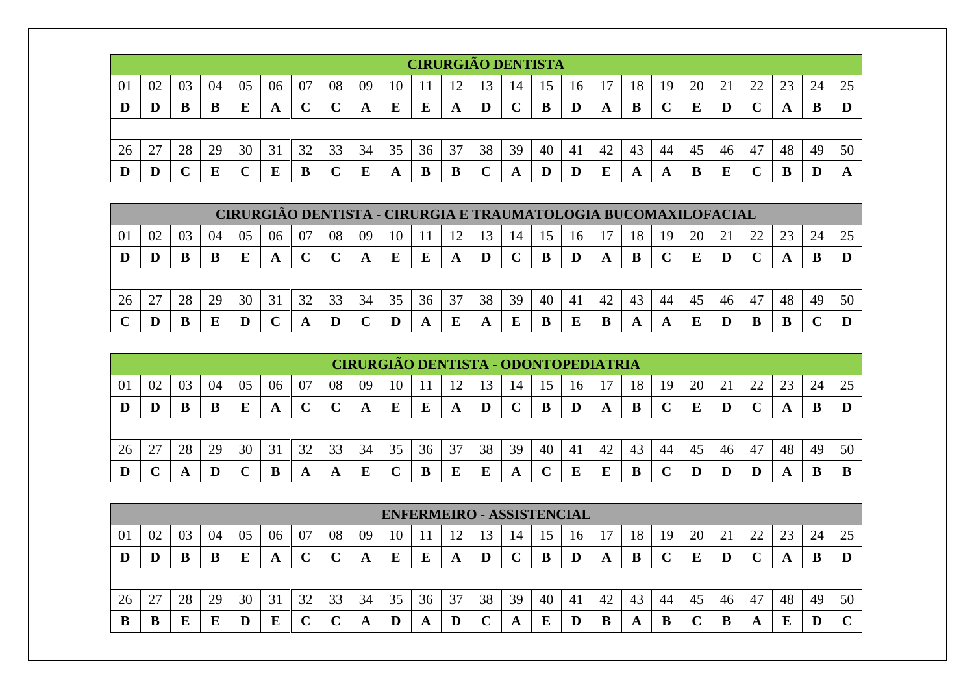|    |    |    |    |    |    |    |              |    |    |    | <b>CIRURGIÃO DENTISTA</b> |    |    |    |    |    |    |    |    |    |    |    |         |    |
|----|----|----|----|----|----|----|--------------|----|----|----|---------------------------|----|----|----|----|----|----|----|----|----|----|----|---------|----|
| 01 | 02 | 03 | 04 | 05 | 06 | 07 | 08           | 09 | 10 |    |                           |    | 14 | 15 | 16 |    | 18 | 19 | 20 | 21 | 22 | 23 | 24      | 25 |
| D  | D  |    | B  | E  | A  |    | $\mathbf{C}$ | A  | E  | E  | A                         |    |    | B  | D  | A  | B  |    | E  | D  |    | A  | B       |    |
|    |    |    |    |    |    |    |              |    |    |    |                           |    |    |    |    |    |    |    |    |    |    |    |         |    |
| 26 | 27 | 28 | 29 | 30 | 31 | 32 | 33           | 34 | 35 | 36 | 37                        | 38 | 39 | 40 | 41 | 42 | 43 | 44 | 45 | 46 | 47 | 48 | 49      | 50 |
| D  | D  |    | E  |    | E  |    |              | E  | A  | B  | В                         |    | A  |    | D  | E  | A  |    | В  | F  |    | В  | ጒ<br>IJ |    |

|    |    |    |    | CIRURGIÃO DENTISTA - CIRURGIA E TRAUMATOLOGIA BUCOMAXILOFACIAL |    |    |    |    |    |    |    |    |    |    |     |    |    |    |    |    |    |    |    |  |
|----|----|----|----|----------------------------------------------------------------|----|----|----|----|----|----|----|----|----|----|-----|----|----|----|----|----|----|----|----|--|
| 01 | 02 | 03 | 04 | 05                                                             | 06 | 07 | 08 | 09 | 10 |    | 12 |    | 14 |    | 16  |    | 18 | 19 | 20 |    |    |    | 24 |  |
| IJ | D  | В  | B  |                                                                |    |    |    | A  |    |    | A  |    |    |    |     | A  | B  |    |    |    |    |    |    |  |
|    |    |    |    |                                                                |    |    |    |    |    |    |    |    |    |    |     |    |    |    |    |    |    |    |    |  |
|    |    |    |    |                                                                |    |    |    |    |    |    |    |    |    |    |     |    |    |    |    |    |    |    |    |  |
| 26 | 27 | 28 | 29 | 30                                                             | 31 | 32 | 33 | 34 | 35 | 36 | 37 | 38 | 39 | 40 | -41 | 42 | 43 | 44 | 45 | 46 | 47 | 48 | 49 |  |

|    |    |    |    |    |    |    |             |    |    |    |    |    |    |    |    | <b>CIRURGIÃO DENTISTA - ODONTOPEDIATRIA</b> |    |    |    |    |    |    |    |    |
|----|----|----|----|----|----|----|-------------|----|----|----|----|----|----|----|----|---------------------------------------------|----|----|----|----|----|----|----|----|
| 01 | 02 | 03 | 04 | 05 | 06 | 07 | 08          | 09 | 10 |    | 12 | 13 | 14 | 15 | 16 |                                             | 18 | 19 | 20 |    | 22 | 23 | 24 | 25 |
|    |    |    |    |    | A  |    | $\mathbf C$ | A  | E  | E  | A  |    |    | B  | D  |                                             |    |    | E  | D  |    |    |    |    |
|    |    |    |    |    |    |    |             |    |    |    |    |    |    |    |    |                                             |    |    |    |    |    |    |    |    |
| 26 | 27 | 28 | 29 | 30 | 31 | 32 | 33          | 34 | 35 | 36 | 37 | 38 | 39 | 40 | 41 | 42                                          | 43 | 44 | 45 | 46 | 47 | 48 | 49 | 50 |
|    |    |    |    |    |    |    | A           |    |    |    | E  |    |    |    |    |                                             |    |    |    |    |    |    |    |    |

|    |                                                                                                                     |    |    |    |    |    |    |    |             |    |    |    |    | <b>ENFERMEIRO - ASSISTENCIAL</b> |    |    |    |    |    |    |    |    |    |    |
|----|---------------------------------------------------------------------------------------------------------------------|----|----|----|----|----|----|----|-------------|----|----|----|----|----------------------------------|----|----|----|----|----|----|----|----|----|----|
| 01 | 02<br>08<br>05<br>07<br>18<br>20<br>25<br>04<br>06<br>03<br>09<br>22<br>ີ<br>24<br>10<br>21<br>19<br>16<br>14<br>23 |    |    |    |    |    |    |    |             |    |    |    |    |                                  |    |    |    |    |    |    |    |    |    |    |
| D  | D                                                                                                                   |    |    |    | A  |    |    | A  | E           | E  | A  | D  |    |                                  |    | A  | B  |    | F  |    |    | o  | ш  |    |
|    |                                                                                                                     |    |    |    |    |    |    |    |             |    |    |    |    |                                  |    |    |    |    |    |    |    |    |    |    |
| 26 |                                                                                                                     | 28 | 29 | 30 | 31 | 32 | 33 | 34 | 35          | 36 | 37 | 38 | 39 | 40                               | 41 | 42 | 43 | 44 | 45 | 46 | 47 | 48 | 49 | 50 |
|    |                                                                                                                     |    |    |    |    |    |    | A  | $\mathbf D$ | A  | D  |    | A  |                                  |    | B  | A  | IJ |    | ю  | A  |    | D  |    |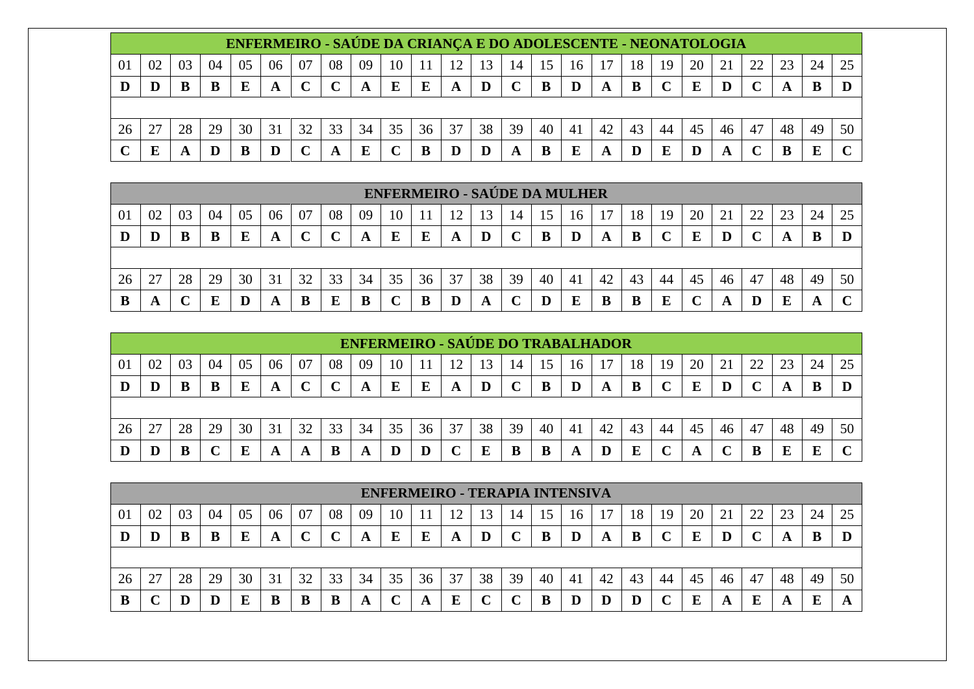|    |    |    |    |    | ENFERMEIRO - SAÚDE DA CRIANÇA E DO ADOLESCENTE - NEONATOLOGIA |    |    |    |    |    |    |    |    |    |    |    |    |    |    |    |                   |    |    |    |
|----|----|----|----|----|---------------------------------------------------------------|----|----|----|----|----|----|----|----|----|----|----|----|----|----|----|-------------------|----|----|----|
| 01 | 02 | 03 | 04 | 05 | 06                                                            | 07 | 08 | 09 | 10 |    | 12 |    | 14 | 15 | 16 |    | 18 | 19 | 20 | 21 | 22                |    | 24 |    |
|    |    |    | B  |    | A                                                             |    |    | A  | E  |    | Α  | D  |    | B  |    |    | в  |    | E  |    | $\mathbf{\Omega}$ |    |    |    |
|    |    |    |    |    |                                                               |    |    |    |    |    |    |    |    |    |    |    |    |    |    |    |                   |    |    |    |
| 26 |    | 28 | 29 | 30 | 31                                                            | 32 | 33 | 34 | 35 | 36 | 37 | 38 | 39 | 40 | 41 | 42 | 43 | 44 | 45 | 46 | 47                | 48 | 49 | 50 |
|    | п  |    |    |    | D                                                             |    | A  |    |    |    |    |    | A  |    | E  |    |    |    |    |    |                   |    | E  |    |

|    |    |    |    |    |    |    |    |    | <b>ENFERMEIRO - SAÚDE DA MULHER</b> |    |    |    |    |    |    |    |    |    |    |    |    |    |    |        |
|----|----|----|----|----|----|----|----|----|-------------------------------------|----|----|----|----|----|----|----|----|----|----|----|----|----|----|--------|
| 01 | 02 | 03 | 04 | 05 | 06 | 07 | 08 | 09 | 10                                  |    | 12 | 13 | 14 | 15 | 16 |    | 18 | 19 | 20 |    | 22 | 23 | 24 | 25     |
|    |    | В  | B  |    | A  |    |    |    | E                                   |    | A  | D  |    |    |    |    | В  |    | E  |    |    |    |    |        |
|    |    |    |    |    |    |    |    |    |                                     |    |    |    |    |    |    |    |    |    |    |    |    |    |    |        |
| 26 | 27 | 28 | 29 | 30 | 31 | 32 | 33 | 34 | 35                                  | 36 | 37 | 38 | 39 | 40 | 41 | 42 | 43 | 44 | 45 | 46 | 47 | 48 | 49 | 50     |
| B  | A  |    |    |    |    |    |    |    |                                     |    |    |    |    |    | E  |    | B  |    |    |    |    |    | A  | $\sim$ |

|    |    |    |    |    |    |    |    |    |    |    | <b>ENFERMEIRO - SAÚDE DO TRABALHADOR</b> |    |             |    |    |    |    |    |    |    |        |    |    |    |
|----|----|----|----|----|----|----|----|----|----|----|------------------------------------------|----|-------------|----|----|----|----|----|----|----|--------|----|----|----|
| 01 | 02 | 03 | 04 | 05 | 06 | 07 | 08 | 09 | 10 |    | $\sqrt{2}$                               | 13 | 14          |    | 16 |    | 18 | 19 | 20 |    | 22     | ົ  | 24 |    |
| D  |    |    |    |    | A  |    |    |    | E  | E  | A                                        | D  | $\mathbf C$ |    |    | A  | B  |    | E  |    | $\sim$ |    |    |    |
|    |    |    |    |    |    |    |    |    |    |    |                                          |    |             |    |    |    |    |    |    |    |        |    |    |    |
| 26 | 27 | 28 | 29 | 30 | 31 | 32 | 33 | 34 | 35 | 36 | 37                                       | 38 | 39          | 40 | 41 | 42 | 43 | 44 | 45 | 46 | 47     | 48 | 49 | 50 |
|    |    |    |    |    | A  | A  | B  | A  |    |    | $\curvearrowright$                       | E  | B           |    | A  |    | E  |    | A  |    | B      |    | ю  |    |

|                |        |    |    |    |    |    |    |    |    |    | <b>ENFERMEIRO - TERAPIA INTENSIVA</b> |    |    |    |                |    |    |    |    |    |    |    |    |    |
|----------------|--------|----|----|----|----|----|----|----|----|----|---------------------------------------|----|----|----|----------------|----|----|----|----|----|----|----|----|----|
| 0 <sup>1</sup> | 02     | 03 | 04 | 05 | 06 | 07 | 08 | 09 | 10 |    | ി                                     | 13 | 14 |    | 16             |    | 18 | 19 | 20 |    | 22 | 23 | 24 | 25 |
| IJ             |        |    | B  |    | A  |    |    | A  |    |    | A                                     |    |    | B  |                |    | B  |    | E  |    |    | A  | B  |    |
|                |        |    |    |    |    |    |    |    |    |    |                                       |    |    |    |                |    |    |    |    |    |    |    |    |    |
| 26             | $\cap$ | 28 | 29 | 30 | 31 | 32 | 33 | 34 | 35 | 36 | 37                                    | 38 | 39 | 40 | 4 <sub>1</sub> | 42 | 43 | 44 | 45 | 46 | 47 | 48 | 49 | 50 |
|                |        |    |    |    |    |    |    | A  |    | A  | т                                     |    |    |    |                |    |    |    |    |    | E  |    | E  |    |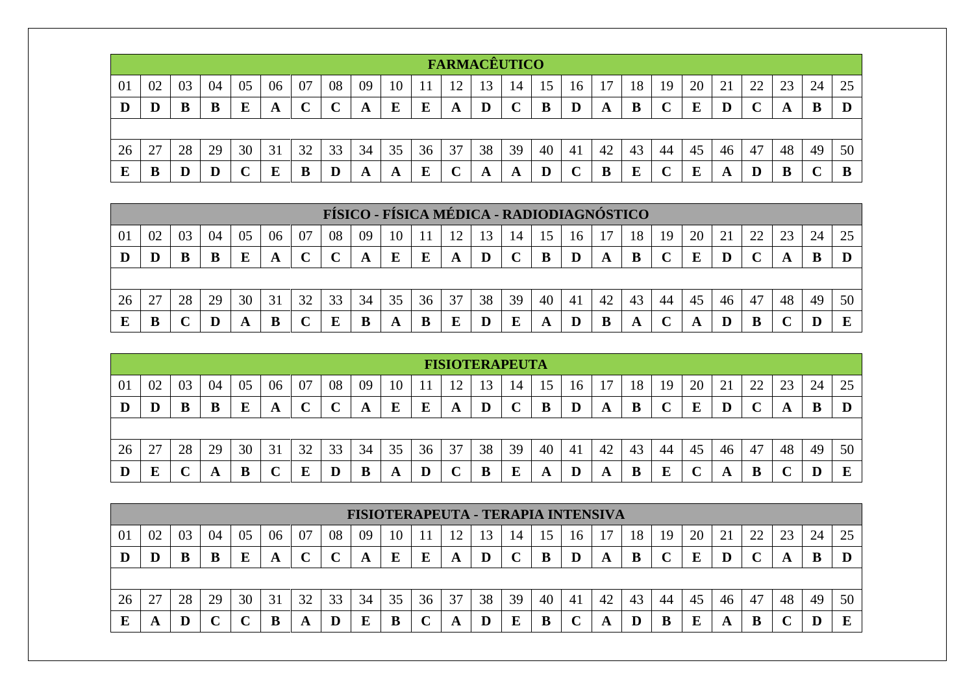|    |    |    |    |    |    |    |             |    |    |    | <b>FARMACÊUTICO</b> |    |              |    |        |    |    |    |    |    |    |    |    |    |
|----|----|----|----|----|----|----|-------------|----|----|----|---------------------|----|--------------|----|--------|----|----|----|----|----|----|----|----|----|
| 01 | 02 | 03 | 04 | 05 | 06 | 07 | 08          | 09 | 10 |    |                     |    | 14           | 15 | 16     |    | 18 | 19 | 20 | 21 | 22 | 23 | 24 | 25 |
| D  | D  |    | B  | E  | A  |    | $\mathbf C$ | A  | E  | E  | A                   |    | $\mathbf{C}$ | B  | D      | A  | B  |    | E  | D  |    | A  | B  |    |
|    |    |    |    |    |    |    |             |    |    |    |                     |    |              |    |        |    |    |    |    |    |    |    |    |    |
| 26 | 27 | 28 | 29 | 30 | 31 | 32 | 33          | 34 | 35 | 36 | 37                  | 38 | 39           | 40 | -41    | 42 | 43 | 44 | 45 | 46 | 47 | 48 | 49 | 50 |
| E  |    | D  | D  |    | E  |    | D           | A  | A  | Е  |                     | A  | A            |    | $\sim$ |    | E  |    | E  | A  | D  | В  |    | B  |

|    |                                                                                                                      |    |    |    |    |    |    |    |    |    |    |    |    |    | FÍSICO - FÍSICA MÉDICA - RADIODIAGNÓSTICO |    |    |    |              |    |    |    |    |    |
|----|----------------------------------------------------------------------------------------------------------------------|----|----|----|----|----|----|----|----|----|----|----|----|----|-------------------------------------------|----|----|----|--------------|----|----|----|----|----|
| 01 | 08<br>20<br>04<br>06<br>07<br>24<br>02<br>09<br>18<br>つつ<br>05<br>23<br>03<br>10<br>12<br>13<br>16<br>14<br>19<br>15 |    |    |    |    |    |    |    |    |    |    |    |    |    |                                           |    |    |    |              |    |    |    |    |    |
| Ш  | D                                                                                                                    | В  | B  | Е  | A  |    |    | A  |    |    | A  |    |    |    |                                           |    | B  |    | E            |    |    |    |    |    |
|    |                                                                                                                      |    |    |    |    |    |    |    |    |    |    |    |    |    |                                           |    |    |    |              |    |    |    |    |    |
| 26 | 27                                                                                                                   | 28 | 29 | 30 | 31 | 32 | 33 | 34 | 35 | 36 | 37 | 38 | 39 | 40 | 41                                        | 42 | 43 | 44 | 45           | 46 | 47 | 48 | 49 | 50 |
|    | B                                                                                                                    |    |    | A  | B  |    |    |    |    |    | E  |    | E  | A  |                                           |    | A  |    | $\mathbf{A}$ |    |    |    |    |    |

|    |    |    |    |    |    |    |                   |    |    |    | <b>FISIOTERAPEUTA</b> |             |    |    |                |    |    |    |    |          |    |    |    |    |
|----|----|----|----|----|----|----|-------------------|----|----|----|-----------------------|-------------|----|----|----------------|----|----|----|----|----------|----|----|----|----|
| 01 | 02 | 03 | 04 | 05 | 06 | 07 | 08                | 09 | 10 |    | 12                    | 13          | 14 | 15 | 16             |    | 18 | 19 | 20 | $\angle$ | 22 | 23 | 24 | 25 |
| D  | D  |    | B  |    | A  | ັ  | $\mathbf{C}$<br>ັ | A  | E  | E  | A                     | $\mathbf D$ |    | в  |                | A  | B  |    | E  |          |    | A  | B  |    |
|    |    |    |    |    |    |    |                   |    |    |    |                       |             |    |    |                |    |    |    |    |          |    |    |    |    |
| 26 | 27 | 28 | 29 | 30 | 31 | 32 | 33                | 34 | 35 | 36 | 37                    | 38          | 39 | 40 | 4 <sub>1</sub> | 42 | 43 | 44 | 45 | 46       | 47 | 48 | 49 | 50 |
| D  | E  | ີ  |    | D  | ັ  |    |                   |    | A  | D  |                       | в           | E  |    |                | A  | B  |    |    |          | B  |    |    | E  |

|    |                                                                                                                |    |    |    |    |    |    | FISIOTERAPEUTA - TERAPIA INTENSIVA |    |    |    |    |    |    |    |    |    |    |    |    |    |    |    |    |
|----|----------------------------------------------------------------------------------------------------------------|----|----|----|----|----|----|------------------------------------|----|----|----|----|----|----|----|----|----|----|----|----|----|----|----|----|
| 01 | 20<br>08<br>07<br>22<br>02<br>18<br>05<br>09<br>21<br>24<br>03<br>06<br>19<br>04<br>13<br>10<br>15<br>16<br>14 |    |    |    |    |    |    |                                    |    |    |    |    |    |    |    |    |    |    |    |    |    |    |    |    |
| ш  | IJ                                                                                                             |    |    |    | A  |    |    | A                                  | E  | E  | A  | D  |    | В  |    | A  | B  |    |    |    |    |    | D  |    |
|    |                                                                                                                |    |    |    |    |    |    |                                    |    |    |    |    |    |    |    |    |    |    |    |    |    |    |    |    |
| 26 | 27                                                                                                             | 28 | 29 | 30 | 31 | 32 | 33 | 34                                 | 35 | 36 | 37 | 38 | 39 | 40 | 41 | 42 | 43 | 44 | 45 | 46 | 47 | 48 | 49 | 50 |
|    | A                                                                                                              |    |    |    |    | A  |    | Е                                  | B  |    | A  |    | E  | B  | ັ  | A  |    |    | Ε  | A  | B  |    |    |    |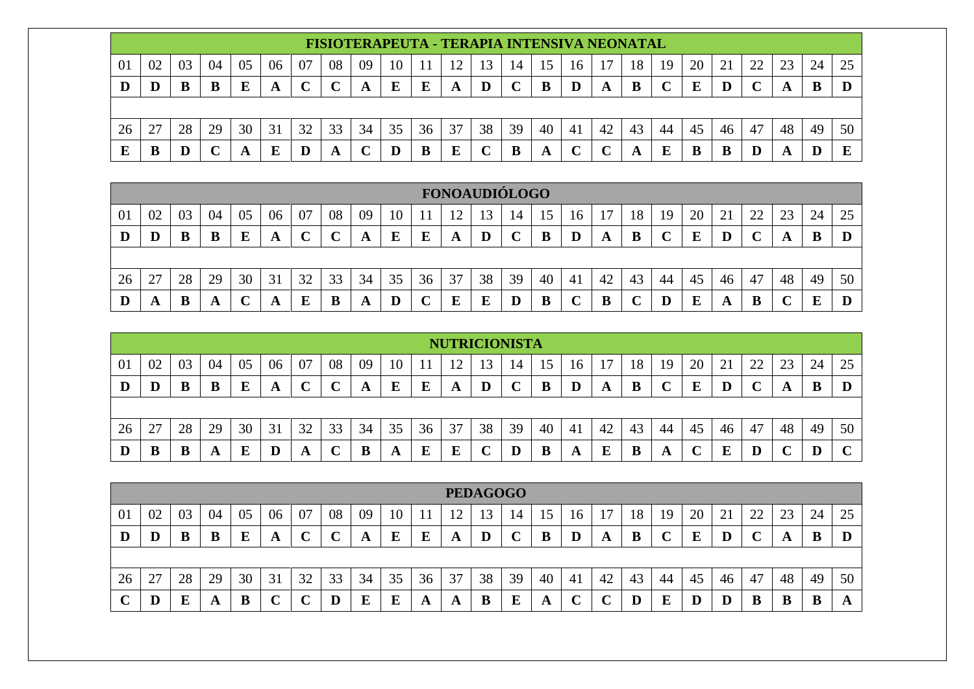|    |    |    |    |    |    |    |    |    |    |    | FISIOTERAPEUTA - TERAPIA INTENSIVA NEONATAL |    |    |    |    |    |    |    |    |    |    |    |    |    |
|----|----|----|----|----|----|----|----|----|----|----|---------------------------------------------|----|----|----|----|----|----|----|----|----|----|----|----|----|
| 01 | 02 | 03 | 04 | 05 | 06 | 07 | 08 | 09 | 10 |    |                                             |    | 14 |    | 16 |    | 18 | 19 | 20 |    | 22 |    | 24 |    |
| D  |    |    |    | Е  |    |    |    |    | E  |    | A                                           | D  |    |    |    |    | B  |    | E  |    |    |    |    |    |
|    |    |    |    |    |    |    |    |    |    |    |                                             |    |    |    |    |    |    |    |    |    |    |    |    |    |
| 26 |    | 28 | 29 | 30 | 31 |    | 33 | 34 | 35 | 36 | 37                                          | 38 | 39 | 40 | 41 | 42 | 43 | 44 | 45 | 46 | 47 | 48 | 49 | 50 |
| E  |    |    |    |    | Б  |    | A  |    | D  | В  | E                                           |    | B  |    |    |    |    |    |    | В  |    |    |    | F  |

|    |    |    |    |    |    |    |    |    |    |    | <b>FONOAUDIÓLOGO</b> |    |    |    |    |    |    |    |    |    |    |    |    |    |
|----|----|----|----|----|----|----|----|----|----|----|----------------------|----|----|----|----|----|----|----|----|----|----|----|----|----|
| 01 | 02 | 03 | 04 | 05 | 06 | 07 | 08 | 09 | 10 |    | ۱η                   | 13 | 14 | 15 | 16 |    | 18 | 19 | 20 | ∠⊥ | 22 | 23 | 24 | 25 |
| D  | D  |    | B  | Ю  | A  |    | ◡  | A  | E  |    | A                    | D  |    |    | D  | A  | B  |    | E  |    |    |    |    |    |
|    |    |    |    |    |    |    |    |    |    |    |                      |    |    |    |    |    |    |    |    |    |    |    |    |    |
| 26 | 27 | 28 | 29 | 30 | 31 | 32 | 33 | 34 | 35 | 36 | 37                   | 38 | 39 | 40 | 41 | 42 | 43 | 44 | 45 | 46 | 47 | 48 | 49 | 50 |
|    | A  | В  | A  |    | A  | E  | B  | A  |    |    | E                    |    |    |    |    |    |    |    | E  |    | B  |    |    |    |

|                                                                                                                                    | <b>NUTRICIONISTA</b> |    |    |    |    |    |    |    |    |    |    |    |    |    |    |    |    |    |    |    |    |    |    |    |
|------------------------------------------------------------------------------------------------------------------------------------|----------------------|----|----|----|----|----|----|----|----|----|----|----|----|----|----|----|----|----|----|----|----|----|----|----|
| 08<br>20<br>02<br>07<br>01<br>04<br>18<br>22<br>24<br>05<br>06<br>09<br>03<br>21<br>19<br>10<br>14<br>$\mathfrak{c}_1$<br>16<br>15 |                      |    |    |    |    |    |    |    |    |    |    |    |    |    | 25 |    |    |    |    |    |    |    |    |    |
| D                                                                                                                                  | D                    |    |    |    | A  |    |    |    | E  | E  | A  | D  |    | B  | D  | A  | B  |    | Ε  |    |    |    | B  |    |
|                                                                                                                                    |                      |    |    |    |    |    |    |    |    |    |    |    |    |    |    |    |    |    |    |    |    |    |    |    |
| 26                                                                                                                                 | 27                   | 28 | 29 | 30 | 31 | 32 | 33 | 34 | 35 | 36 | 37 | 38 | 39 | 40 | 41 | 42 | 43 | 44 | 45 | 46 | 47 | 48 | 49 | 50 |
| Ш                                                                                                                                  | B                    |    | A  |    | D  | A  |    | В  | A  | E  | E  |    |    | B  | A  |    | B  | A  |    |    | D  |    | IJ |    |

|    | <b>PEDAGOGO</b>                                                                                                           |    |    |    |    |    |    |    |    |    |    |    |    |    |    |    |    |    |    |    |    |    |    |    |
|----|---------------------------------------------------------------------------------------------------------------------------|----|----|----|----|----|----|----|----|----|----|----|----|----|----|----|----|----|----|----|----|----|----|----|
| 01 | 24<br>08<br>02<br>04<br>06<br>09<br>22<br>23<br>10<br>20<br>05<br>07<br>03<br>ി<br>18<br>13<br>19<br>21<br>15<br>14<br>16 |    |    |    |    |    |    |    |    |    |    |    |    |    |    | 25 |    |    |    |    |    |    |    |    |
| IJ | D                                                                                                                         |    | В  |    | A  |    | ັ  | A  | E  | E  | A  |    |    | B  |    | A  | B  |    | E  |    |    | A  | B  |    |
|    |                                                                                                                           |    |    |    |    |    |    |    |    |    |    |    |    |    |    |    |    |    |    |    |    |    |    |    |
| 26 | 27                                                                                                                        | 28 | 29 | 30 | 31 | 32 | 33 | 34 | 35 | 36 | 37 | 38 | 39 | 40 | 41 | 42 | 43 | 44 | 45 | 46 | 47 | 48 | 49 | 50 |
|    | Ш                                                                                                                         |    | A  |    | ֊  |    | D  |    | E  | A  | A  | B  | E  | A  |    |    | D  | E  | D  |    | B  | B  | B  | A  |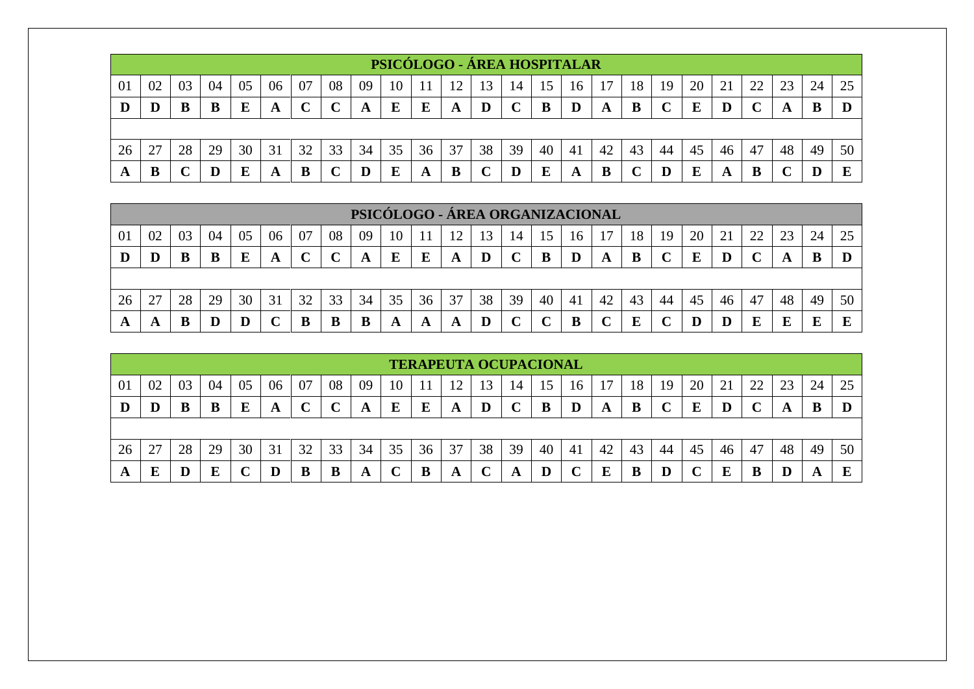|    |    |    |    |    |    |    |               |    |    |    |    |    |              |    | PSICÓLOGO - ÁREA HOSPITALAR |    |    |    |    |    |              |    |    |    |
|----|----|----|----|----|----|----|---------------|----|----|----|----|----|--------------|----|-----------------------------|----|----|----|----|----|--------------|----|----|----|
| 01 | 02 | 03 | 04 | 05 | 06 | 07 | 08            | 09 | 10 |    |    | 13 | 14           | 15 | 16                          |    | 18 | 19 | 20 | 21 | 22           | 23 | 24 | 25 |
| D  | D  |    |    | Е  | A  |    | $\mathcal{C}$ | A  | E  | E  | A  | D  | $\mathbf{C}$ | В  | D                           | A  | B  |    | E  |    | $\mathbf{C}$ |    | В  |    |
|    |    |    |    |    |    |    |               |    |    |    |    |    |              |    |                             |    |    |    |    |    |              |    |    |    |
| 26 |    | 28 | 29 | 30 | 31 | 32 | 33            | 34 | 35 | 36 | 37 | 38 | 39           | 40 | 41                          | 42 | 43 | 44 | 45 | 46 | 47           | 48 | 49 | 50 |
|    | B  |    | D  | Е  | A  | в  |               |    | E  | A  | B  |    | D            | E  | A                           | B  |    |    | E  | A  | B            |    |    | E  |

|    | PSICÓLOGO - ÁREA ORGANIZACIONAL                                                                                            |    |    |    |    |    |    |    |    |    |    |    |    |    |    |    |    |    |    |    |    |    |    |    |
|----|----------------------------------------------------------------------------------------------------------------------------|----|----|----|----|----|----|----|----|----|----|----|----|----|----|----|----|----|----|----|----|----|----|----|
| 01 | 08<br>24<br>02<br>04<br>06<br>07<br>20<br>າາ<br>09<br>03<br>05<br>18<br>23<br>10<br>13<br>17<br>12<br>14<br>16<br>19<br>15 |    |    |    |    |    |    |    |    |    |    |    |    |    |    | 25 |    |    |    |    |    |    |    |    |
|    |                                                                                                                            | B  | B  |    | A  |    |    | A  | E  | E  | A  | D  |    |    |    | A  | B  |    |    |    |    |    |    |    |
|    |                                                                                                                            |    |    |    |    |    |    |    |    |    |    |    |    |    |    |    |    |    |    |    |    |    |    |    |
| 26 | 27                                                                                                                         | 28 | 29 | 30 | 31 | 32 | 33 | 34 | 35 | 36 | 37 | 38 | 39 | 40 | 41 | 42 | 43 | 44 | 45 | 46 | 47 | 48 | 49 | 50 |
| A  | A                                                                                                                          | B  | D  |    |    | B  | B  | B  | A  | A  | A  | D  |    |    |    |    | E  |    |    |    |    |    |    |    |

|    | <b>TERAPEUTA OCUPACIONAL</b>                                                                                                      |    |    |    |    |    |    |    |    |    |    |    |    |    |    |    |    |    |    |    |    |    |    |    |
|----|-----------------------------------------------------------------------------------------------------------------------------------|----|----|----|----|----|----|----|----|----|----|----|----|----|----|----|----|----|----|----|----|----|----|----|
| 01 | 07<br>08<br>20<br>02<br>22<br>23<br>03<br>05<br>09<br>18<br>21<br>04<br>06<br>19<br>24<br>10<br>13<br>16<br>14<br>15 <sub>1</sub> |    |    |    |    |    |    |    |    |    |    |    |    |    |    | 25 |    |    |    |    |    |    |    |    |
| D  | D                                                                                                                                 |    | B  |    | A  |    |    | A  | E  | E  | A  | D  | ◡  | B  | D  | A  | B  |    | E  |    | ◡  | A  | B  |    |
|    |                                                                                                                                   |    |    |    |    |    |    |    |    |    |    |    |    |    |    |    |    |    |    |    |    |    |    |    |
| 26 | 27                                                                                                                                | 28 | 29 | 30 | 31 | 32 | 33 | 34 | 35 | 36 | 37 | 38 | 39 | 40 | 41 | 42 | 43 | 44 | 45 | 46 | 47 | 48 | 49 | 50 |
| A  | E                                                                                                                                 |    | Е  |    | D  |    | B  | A  |    |    | A  |    | A  |    |    |    | B  |    |    |    | В  |    | A  | ш  |